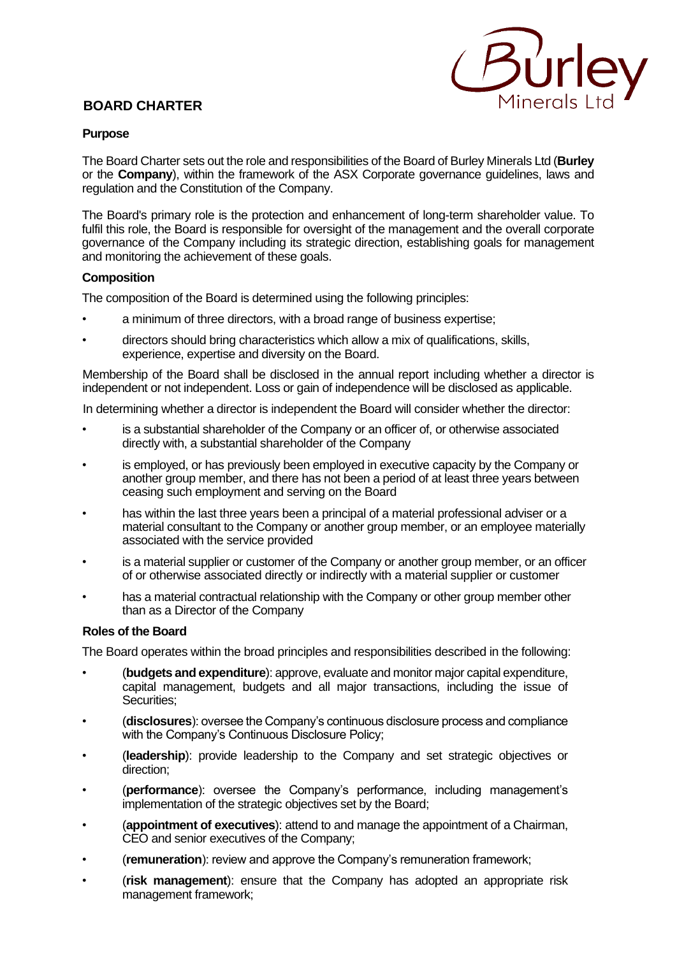# **BOARD CHARTER**



### **Purpose**

The Board Charter sets out the role and responsibilities of the Board of Burley Minerals Ltd (**Burley** or the **Company**), within the framework of the ASX Corporate governance guidelines, laws and regulation and the Constitution of the Company.

The Board's primary role is the protection and enhancement of long-term shareholder value. To fulfil this role, the Board is responsible for oversight of the management and the overall corporate governance of the Company including its strategic direction, establishing goals for management and monitoring the achievement of these goals.

### **Composition**

The composition of the Board is determined using the following principles:

- a minimum of three directors, with a broad range of business expertise;
- directors should bring characteristics which allow a mix of qualifications, skills, experience, expertise and diversity on the Board.

Membership of the Board shall be disclosed in the annual report including whether a director is independent or not independent. Loss or gain of independence will be disclosed as applicable.

In determining whether a director is independent the Board will consider whether the director:

- is a substantial shareholder of the Company or an officer of, or otherwise associated directly with, a substantial shareholder of the Company
- is employed, or has previously been employed in executive capacity by the Company or another group member, and there has not been a period of at least three years between ceasing such employment and serving on the Board
- has within the last three years been a principal of a material professional adviser or a material consultant to the Company or another group member, or an employee materially associated with the service provided
- is a material supplier or customer of the Company or another group member, or an officer of or otherwise associated directly or indirectly with a material supplier or customer
- has a material contractual relationship with the Company or other group member other than as a Director of the Company

## **Roles of the Board**

The Board operates within the broad principles and responsibilities described in the following:

- (**budgets and expenditure**): approve, evaluate and monitor major capital expenditure, capital management, budgets and all major transactions, including the issue of Securities;
- (**disclosures**): oversee the Company's continuous disclosure process and compliance with the Company's Continuous Disclosure Policy;
- (**leadership**): provide leadership to the Company and set strategic objectives or direction;
- (**performance**): oversee the Company's performance, including management's implementation of the strategic objectives set by the Board;
- (**appointment of executives**): attend to and manage the appointment of a Chairman, CEO and senior executives of the Company;
- (**remuneration**): review and approve the Company's remuneration framework;
- (**risk management**): ensure that the Company has adopted an appropriate risk management framework;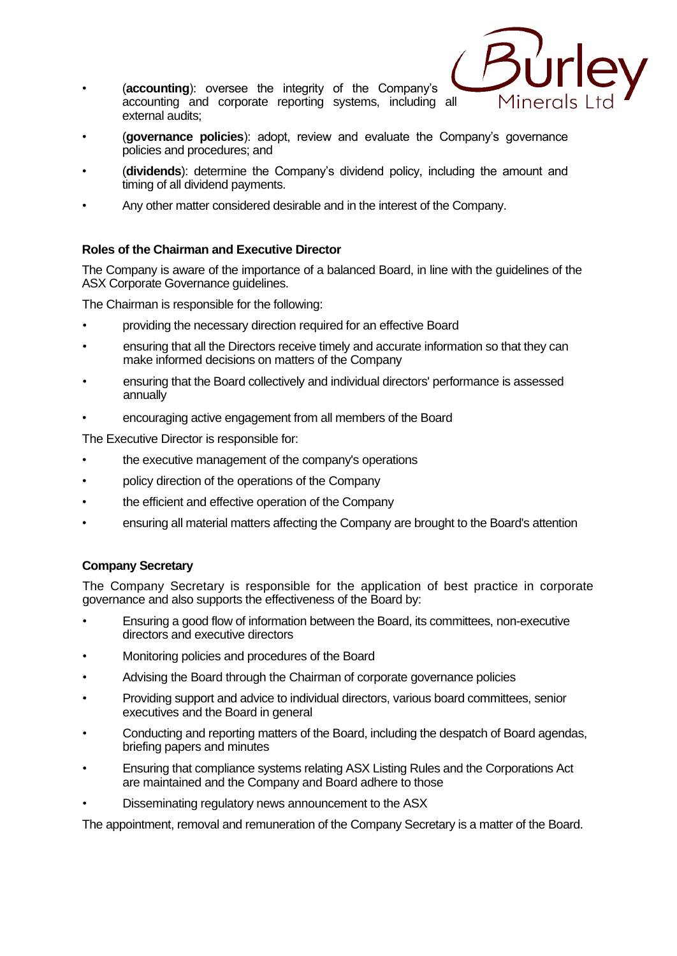• (**accounting**): oversee the integrity of the Company's accounting and corporate reporting systems, including all external audits;



- (**governance policies**): adopt, review and evaluate the Company's governance policies and procedures; and
- (**dividends**): determine the Company's dividend policy, including the amount and timing of all dividend payments.
- Any other matter considered desirable and in the interest of the Company.

## **Roles of the Chairman and Executive Director**

The Company is aware of the importance of a balanced Board, in line with the guidelines of the ASX Corporate Governance guidelines.

The Chairman is responsible for the following:

- providing the necessary direction required for an effective Board
- ensuring that all the Directors receive timely and accurate information so that they can make informed decisions on matters of the Company
- ensuring that the Board collectively and individual directors' performance is assessed annually
- encouraging active engagement from all members of the Board

The Executive Director is responsible for:

- the executive management of the company's operations
- policy direction of the operations of the Company
- the efficient and effective operation of the Company
- ensuring all material matters affecting the Company are brought to the Board's attention

## **Company Secretary**

The Company Secretary is responsible for the application of best practice in corporate governance and also supports the effectiveness of the Board by:

- Ensuring a good flow of information between the Board, its committees, non-executive directors and executive directors
- Monitoring policies and procedures of the Board
- Advising the Board through the Chairman of corporate governance policies
- Providing support and advice to individual directors, various board committees, senior executives and the Board in general
- Conducting and reporting matters of the Board, including the despatch of Board agendas, briefing papers and minutes
- Ensuring that compliance systems relating ASX Listing Rules and the Corporations Act are maintained and the Company and Board adhere to those
- Disseminating regulatory news announcement to the ASX

The appointment, removal and remuneration of the Company Secretary is a matter of the Board.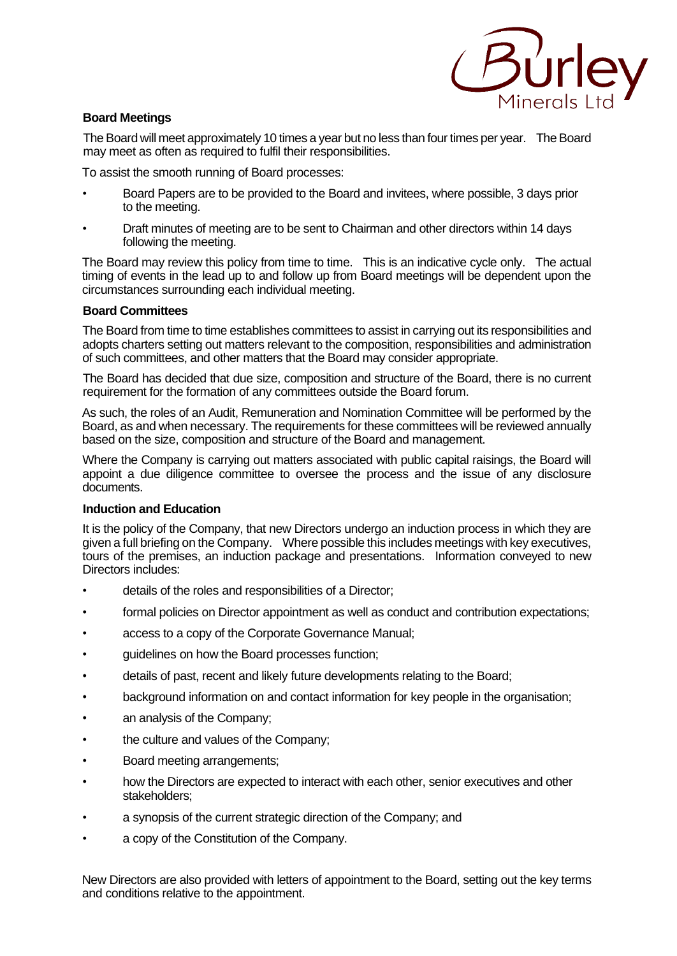

### **Board Meetings**

The Board will meet approximately 10 times a year but no less than four times per year. The Board may meet as often as required to fulfil their responsibilities.

To assist the smooth running of Board processes:

- Board Papers are to be provided to the Board and invitees, where possible, 3 days prior to the meeting.
- Draft minutes of meeting are to be sent to Chairman and other directors within 14 days following the meeting.

The Board may review this policy from time to time. This is an indicative cycle only. The actual timing of events in the lead up to and follow up from Board meetings will be dependent upon the circumstances surrounding each individual meeting.

#### **Board Committees**

The Board from time to time establishes committees to assist in carrying out its responsibilities and adopts charters setting out matters relevant to the composition, responsibilities and administration of such committees, and other matters that the Board may consider appropriate.

The Board has decided that due size, composition and structure of the Board, there is no current requirement for the formation of any committees outside the Board forum.

As such, the roles of an Audit, Remuneration and Nomination Committee will be performed by the Board, as and when necessary. The requirements for these committees will be reviewed annually based on the size, composition and structure of the Board and management.

Where the Company is carrying out matters associated with public capital raisings, the Board will appoint a due diligence committee to oversee the process and the issue of any disclosure documents.

#### **Induction and Education**

It is the policy of the Company, that new Directors undergo an induction process in which they are given a full briefing on the Company. Where possible this includes meetings with key executives, tours of the premises, an induction package and presentations. Information conveyed to new Directors includes:

- details of the roles and responsibilities of a Director;
- formal policies on Director appointment as well as conduct and contribution expectations;
- access to a copy of the Corporate Governance Manual;
- quidelines on how the Board processes function;
- details of past, recent and likely future developments relating to the Board;
- background information on and contact information for key people in the organisation;
- an analysis of the Company;
- the culture and values of the Company;
- Board meeting arrangements;
- how the Directors are expected to interact with each other, senior executives and other stakeholders;
- a synopsis of the current strategic direction of the Company; and
- a copy of the Constitution of the Company.

New Directors are also provided with letters of appointment to the Board, setting out the key terms and conditions relative to the appointment.